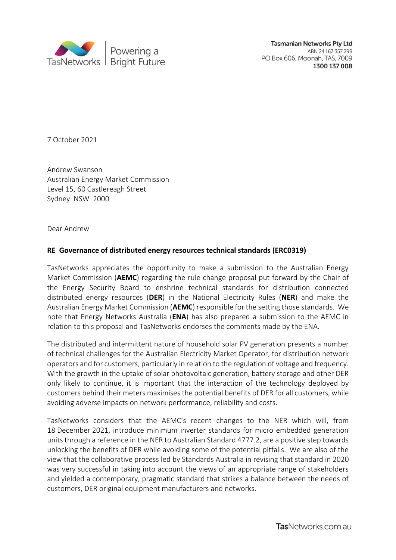

**Tasmanian Networks Pty Ltd** ABN 24 167 357 299 PO Box 606, Moonah, TAS, 7009 1300 137 008

7 October 2021

Andrew Swanson Australian Energy Market Commission Level 15, 60 Castlereagh Street Sydney NSW 2000

Dear Andrew

## **RE Governance of distributed energy resources technical standards (ERC0319)**

TasNetworks appreciates the opportunity to make a submission to the Australian Energy Market Commission (**AEMC**) regarding the rule change proposal put forward by the Chair of the Energy Security Board to enshrine technical standards for distribution connected distributed energy resources (**DER**) in the National Electricity Rules (**NER**) and make the Australian Energy Market Commission (**AEMC**) responsible for the setting those standards. We note that Energy Networks Australia (**ENA**) has also prepared a submission to the AEMC in relation to this proposal and TasNetworks endorses the comments made by the ENA.

The distributed and intermittent nature of household solar PV generation presents a number of technical challenges for the Australian Electricity Market Operator, for distribution network operators and for customers, particularly in relation to the regulation of voltage and frequency. With the growth in the uptake of solar photovoltaic generation, battery storage and other DER only likely to continue, it is important that the interaction of the technology deployed by customers behind their meters maximises the potential benefits of DER for all customers, while avoiding adverse impacts on network performance, reliability and costs.

TasNetworks considers that the AEMC's recent changes to the NER which will, from 18 December 2021, introduce minimum inverter standards for micro embedded generation units through a reference in the NER to Australian Standard 4777.2, are a positive step towards unlocking the benefits of DER while avoiding some of the potential pitfalls. We are also of the view that the collaborative process led by Standards Australia in revising that standard in 2020 was very successful in taking into account the views of an appropriate range of stakeholders and yielded a contemporary, pragmatic standard that strikes a balance between the needs of customers, DER original equipment manufacturers and networks.